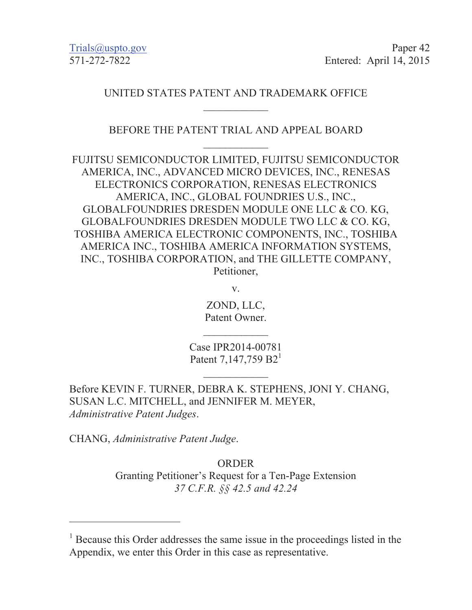Trials@uspto.gov Paper 42 571-272-7822 Entered: April 14, 2015

### UNITED STATES PATENT AND TRADEMARK OFFICE  $\overline{\phantom{a}}$

### BEFORE THE PATENT TRIAL AND APPEAL BOARD  $\frac{1}{2}$

FUJITSU SEMICONDUCTOR LIMITED, FUJITSU SEMICONDUCTOR AMERICA, INC., ADVANCED MICRO DEVICES, INC., RENESAS ELECTRONICS CORPORATION, RENESAS ELECTRONICS AMERICA, INC., GLOBAL FOUNDRIES U.S., INC., GLOBALFOUNDRIES DRESDEN MODULE ONE LLC & CO. KG, GLOBALFOUNDRIES DRESDEN MODULE TWO LLC & CO. KG, TOSHIBA AMERICA ELECTRONIC COMPONENTS, INC., TOSHIBA AMERICA INC., TOSHIBA AMERICA INFORMATION SYSTEMS, INC., TOSHIBA CORPORATION, and THE GILLETTE COMPANY, Petitioner,

v.

ZOND, LLC, Patent Owner.

 $\overline{\phantom{a}}$ 

Case IPR2014-00781 Patent 7,147,759  $B2<sup>1</sup>$ 

 $\frac{1}{2}$ 

Before KEVIN F. TURNER, DEBRA K. STEPHENS, JONI Y. CHANG, SUSAN L.C. MITCHELL, and JENNIFER M. MEYER, *Administrative Patent Judges*.

CHANG, *Administrative Patent Judge*.

 $\overline{a}$ 

**ORDER** Granting Petitioner's Request for a Ten-Page Extension *37 C.F.R. §§ 42.5 and 42.24* 

<sup>&</sup>lt;sup>1</sup> Because this Order addresses the same issue in the proceedings listed in the Appendix, we enter this Order in this case as representative.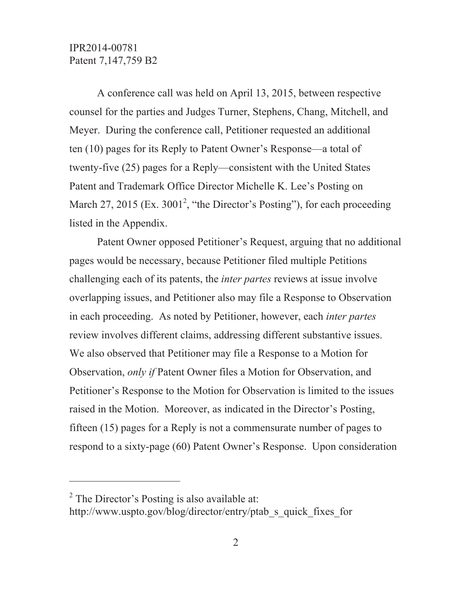A conference call was held on April 13, 2015, between respective counsel for the parties and Judges Turner, Stephens, Chang, Mitchell, and Meyer. During the conference call, Petitioner requested an additional ten (10) pages for its Reply to Patent Owner's Response—a total of twenty-five (25) pages for a Reply—consistent with the United States Patent and Trademark Office Director Michelle K. Lee's Posting on March 27, 2015 (Ex.  $3001^2$ , "the Director's Posting"), for each proceeding listed in the Appendix.

Patent Owner opposed Petitioner's Request, arguing that no additional pages would be necessary, because Petitioner filed multiple Petitions challenging each of its patents, the *inter partes* reviews at issue involve overlapping issues, and Petitioner also may file a Response to Observation in each proceeding. As noted by Petitioner, however, each *inter partes* review involves different claims, addressing different substantive issues. We also observed that Petitioner may file a Response to a Motion for Observation, *only if* Patent Owner files a Motion for Observation, and Petitioner's Response to the Motion for Observation is limited to the issues raised in the Motion. Moreover, as indicated in the Director's Posting, fifteen (15) pages for a Reply is not a commensurate number of pages to respond to a sixty-page (60) Patent Owner's Response. Upon consideration

 $\overline{a}$ 

 $2^2$  The Director's Posting is also available at:

http://www.uspto.gov/blog/director/entry/ptab\_s\_quick\_fixes\_for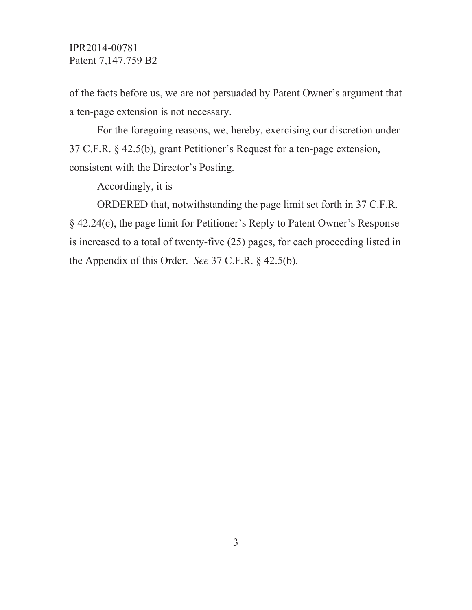of the facts before us, we are not persuaded by Patent Owner's argument that a ten-page extension is not necessary.

For the foregoing reasons, we, hereby, exercising our discretion under 37 C.F.R. § 42.5(b), grant Petitioner's Request for a ten-page extension, consistent with the Director's Posting.

Accordingly, it is

ORDERED that, notwithstanding the page limit set forth in 37 C.F.R. § 42.24(c), the page limit for Petitioner's Reply to Patent Owner's Response is increased to a total of twenty-five (25) pages, for each proceeding listed in the Appendix of this Order. *See* 37 C.F.R. § 42.5(b).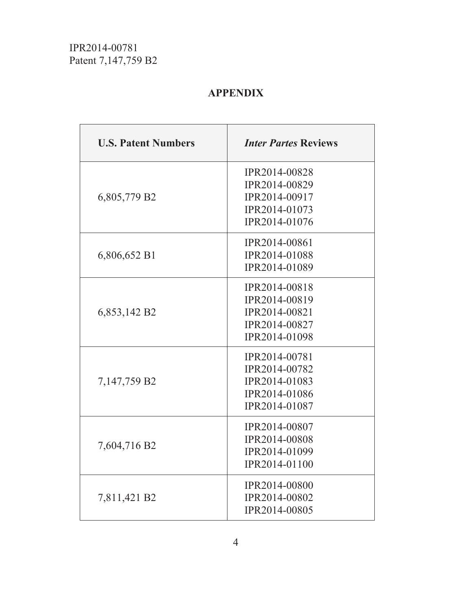# **APPENDIX**

| <b>U.S. Patent Numbers</b> | <b>Inter Partes Reviews</b>                                                       |
|----------------------------|-----------------------------------------------------------------------------------|
| 6,805,779 B2               | IPR2014-00828<br>IPR2014-00829<br>IPR2014-00917<br>IPR2014-01073<br>IPR2014-01076 |
| 6,806,652 B1               | IPR2014-00861<br>IPR2014-01088<br>IPR2014-01089                                   |
| 6,853,142 B2               | IPR2014-00818<br>IPR2014-00819<br>IPR2014-00821<br>IPR2014-00827<br>IPR2014-01098 |
| 7,147,759 B2               | IPR2014-00781<br>IPR2014-00782<br>IPR2014-01083<br>IPR2014-01086<br>IPR2014-01087 |
| 7,604,716 B2               | IPR2014-00807<br>IPR2014-00808<br>IPR2014-01099<br>IPR2014-01100                  |
| 7,811,421 B2               | <b>IPR2014-00800</b><br>IPR2014-00802<br>IPR2014-00805                            |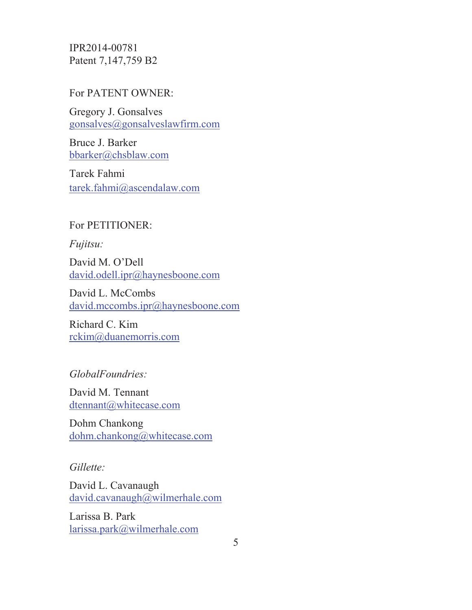#### For PATENT OWNER:

Gregory J. Gonsalves gonsalves@gonsalveslawfirm.com

Bruce J. Barker bbarker@chsblaw.com

Tarek Fahmi tarek.fahmi@ascendalaw.com

### For PETITIONER:

*Fujitsu:*

David M. O'Dell david.odell.ipr@haynesboone.com

David L. McCombs david.mccombs.ipr@haynesboone.com

Richard C. Kim rckim@duanemorris.com

### *GlobalFoundries:*

David M. Tennant dtennant@whitecase.com

Dohm Chankong dohm.chankong@whitecase.com

### *Gillette:*

David L. Cavanaugh david.cavanaugh@wilmerhale.com

Larissa B. Park larissa.park@wilmerhale.com